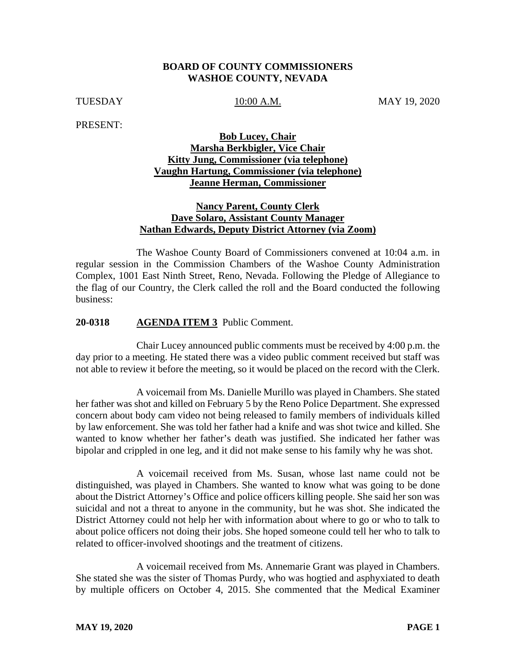## **BOARD OF COUNTY COMMISSIONERS WASHOE COUNTY, NEVADA**

TUESDAY 10:00 A.M. MAY 19, 2020

PRESENT:

# **Bob Lucey, Chair Marsha Berkbigler, Vice Chair Kitty Jung, Commissioner (via telephone) Vaughn Hartung, Commissioner (via telephone) Jeanne Herman, Commissioner**

## **Nancy Parent, County Clerk Dave Solaro, Assistant County Manager Nathan Edwards, Deputy District Attorney (via Zoom)**

The Washoe County Board of Commissioners convened at 10:04 a.m. in regular session in the Commission Chambers of the Washoe County Administration Complex, 1001 East Ninth Street, Reno, Nevada. Following the Pledge of Allegiance to the flag of our Country, the Clerk called the roll and the Board conducted the following business:

## **20-0318 AGENDA ITEM 3** Public Comment.

Chair Lucey announced public comments must be received by 4:00 p.m. the day prior to a meeting. He stated there was a video public comment received but staff was not able to review it before the meeting, so it would be placed on the record with the Clerk.

A voicemail from Ms. Danielle Murillo was played in Chambers. She stated her father was shot and killed on February 5 by the Reno Police Department. She expressed concern about body cam video not being released to family members of individuals killed by law enforcement. She was told her father had a knife and was shot twice and killed. She wanted to know whether her father's death was justified. She indicated her father was bipolar and crippled in one leg, and it did not make sense to his family why he was shot.

A voicemail received from Ms. Susan, whose last name could not be distinguished, was played in Chambers. She wanted to know what was going to be done about the District Attorney's Office and police officers killing people. She said her son was suicidal and not a threat to anyone in the community, but he was shot. She indicated the District Attorney could not help her with information about where to go or who to talk to about police officers not doing their jobs. She hoped someone could tell her who to talk to related to officer-involved shootings and the treatment of citizens.

A voicemail received from Ms. Annemarie Grant was played in Chambers. She stated she was the sister of Thomas Purdy, who was hogtied and asphyxiated to death by multiple officers on October 4, 2015. She commented that the Medical Examiner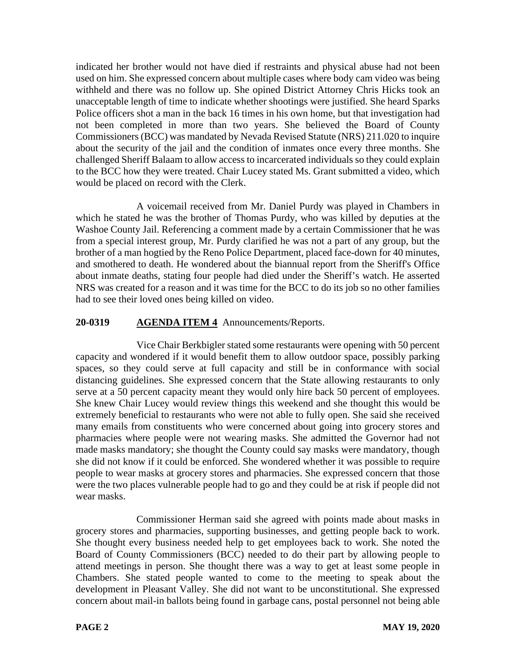indicated her brother would not have died if restraints and physical abuse had not been used on him. She expressed concern about multiple cases where body cam video was being withheld and there was no follow up. She opined District Attorney Chris Hicks took an unacceptable length of time to indicate whether shootings were justified. She heard Sparks Police officers shot a man in the back 16 times in his own home, but that investigation had not been completed in more than two years. She believed the Board of County Commissioners (BCC) was mandated by Nevada Revised Statute (NRS) 211.020 to inquire about the security of the jail and the condition of inmates once every three months. She challenged Sheriff Balaam to allow access to incarcerated individuals so they could explain to the BCC how they were treated. Chair Lucey stated Ms. Grant submitted a video, which would be placed on record with the Clerk.

A voicemail received from Mr. Daniel Purdy was played in Chambers in which he stated he was the brother of Thomas Purdy, who was killed by deputies at the Washoe County Jail. Referencing a comment made by a certain Commissioner that he was from a special interest group, Mr. Purdy clarified he was not a part of any group, but the brother of a man hogtied by the Reno Police Department, placed face-down for 40 minutes, and smothered to death. He wondered about the biannual report from the Sheriff's Office about inmate deaths, stating four people had died under the Sheriff's watch. He asserted NRS was created for a reason and it was time for the BCC to do its job so no other families had to see their loved ones being killed on video.

# **20-0319 AGENDA ITEM 4** Announcements/Reports.

Vice Chair Berkbigler stated some restaurants were opening with 50 percent capacity and wondered if it would benefit them to allow outdoor space, possibly parking spaces, so they could serve at full capacity and still be in conformance with social distancing guidelines. She expressed concern that the State allowing restaurants to only serve at a 50 percent capacity meant they would only hire back 50 percent of employees. She knew Chair Lucey would review things this weekend and she thought this would be extremely beneficial to restaurants who were not able to fully open. She said she received many emails from constituents who were concerned about going into grocery stores and pharmacies where people were not wearing masks. She admitted the Governor had not made masks mandatory; she thought the County could say masks were mandatory, though she did not know if it could be enforced. She wondered whether it was possible to require people to wear masks at grocery stores and pharmacies. She expressed concern that those were the two places vulnerable people had to go and they could be at risk if people did not wear masks.

Commissioner Herman said she agreed with points made about masks in grocery stores and pharmacies, supporting businesses, and getting people back to work. She thought every business needed help to get employees back to work. She noted the Board of County Commissioners (BCC) needed to do their part by allowing people to attend meetings in person. She thought there was a way to get at least some people in Chambers. She stated people wanted to come to the meeting to speak about the development in Pleasant Valley. She did not want to be unconstitutional. She expressed concern about mail-in ballots being found in garbage cans, postal personnel not being able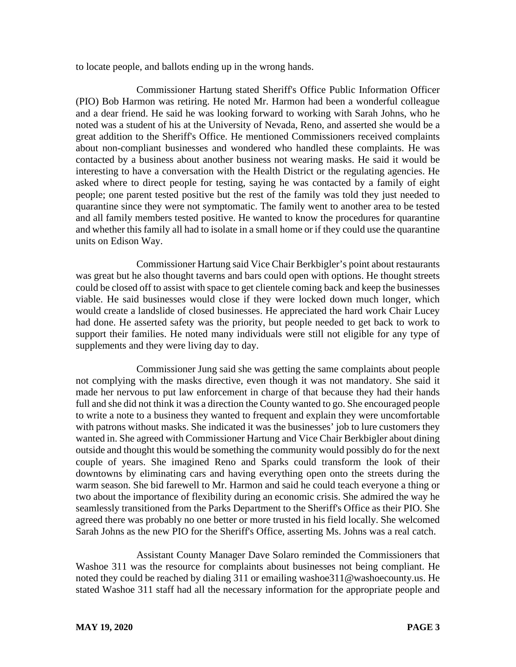to locate people, and ballots ending up in the wrong hands.

Commissioner Hartung stated Sheriff's Office Public Information Officer (PIO) Bob Harmon was retiring. He noted Mr. Harmon had been a wonderful colleague and a dear friend. He said he was looking forward to working with Sarah Johns, who he noted was a student of his at the University of Nevada, Reno, and asserted she would be a great addition to the Sheriff's Office. He mentioned Commissioners received complaints about non-compliant businesses and wondered who handled these complaints. He was contacted by a business about another business not wearing masks. He said it would be interesting to have a conversation with the Health District or the regulating agencies. He asked where to direct people for testing, saying he was contacted by a family of eight people; one parent tested positive but the rest of the family was told they just needed to quarantine since they were not symptomatic. The family went to another area to be tested and all family members tested positive. He wanted to know the procedures for quarantine and whether this family all had to isolate in a small home or if they could use the quarantine units on Edison Way.

Commissioner Hartung said Vice Chair Berkbigler's point about restaurants was great but he also thought taverns and bars could open with options. He thought streets could be closed off to assist with space to get clientele coming back and keep the businesses viable. He said businesses would close if they were locked down much longer, which would create a landslide of closed businesses. He appreciated the hard work Chair Lucey had done. He asserted safety was the priority, but people needed to get back to work to support their families. He noted many individuals were still not eligible for any type of supplements and they were living day to day.

Commissioner Jung said she was getting the same complaints about people not complying with the masks directive, even though it was not mandatory. She said it made her nervous to put law enforcement in charge of that because they had their hands full and she did not think it was a direction the County wanted to go. She encouraged people to write a note to a business they wanted to frequent and explain they were uncomfortable with patrons without masks. She indicated it was the businesses' job to lure customers they wanted in. She agreed with Commissioner Hartung and Vice Chair Berkbigler about dining outside and thought this would be something the community would possibly do for the next couple of years. She imagined Reno and Sparks could transform the look of their downtowns by eliminating cars and having everything open onto the streets during the warm season. She bid farewell to Mr. Harmon and said he could teach everyone a thing or two about the importance of flexibility during an economic crisis. She admired the way he seamlessly transitioned from the Parks Department to the Sheriff's Office as their PIO. She agreed there was probably no one better or more trusted in his field locally. She welcomed Sarah Johns as the new PIO for the Sheriff's Office, asserting Ms. Johns was a real catch.

Assistant County Manager Dave Solaro reminded the Commissioners that Washoe 311 was the resource for complaints about businesses not being compliant. He noted they could be reached by dialing 311 or emailing washoe311@washoecounty.us. He stated Washoe 311 staff had all the necessary information for the appropriate people and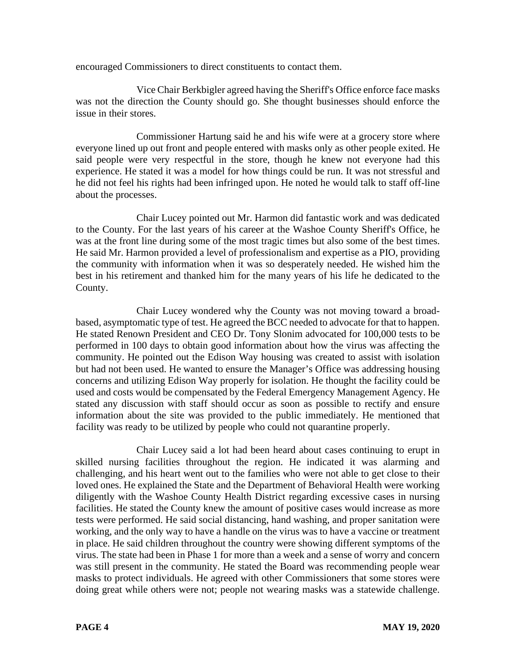encouraged Commissioners to direct constituents to contact them.

Vice Chair Berkbigler agreed having the Sheriff's Office enforce face masks was not the direction the County should go. She thought businesses should enforce the issue in their stores.

Commissioner Hartung said he and his wife were at a grocery store where everyone lined up out front and people entered with masks only as other people exited. He said people were very respectful in the store, though he knew not everyone had this experience. He stated it was a model for how things could be run. It was not stressful and he did not feel his rights had been infringed upon. He noted he would talk to staff off-line about the processes.

Chair Lucey pointed out Mr. Harmon did fantastic work and was dedicated to the County. For the last years of his career at the Washoe County Sheriff's Office, he was at the front line during some of the most tragic times but also some of the best times. He said Mr. Harmon provided a level of professionalism and expertise as a PIO, providing the community with information when it was so desperately needed. He wished him the best in his retirement and thanked him for the many years of his life he dedicated to the County.

Chair Lucey wondered why the County was not moving toward a broadbased, asymptomatic type of test. He agreed the BCC needed to advocate for that to happen. He stated Renown President and CEO Dr. Tony Slonim advocated for 100,000 tests to be performed in 100 days to obtain good information about how the virus was affecting the community. He pointed out the Edison Way housing was created to assist with isolation but had not been used. He wanted to ensure the Manager's Office was addressing housing concerns and utilizing Edison Way properly for isolation. He thought the facility could be used and costs would be compensated by the Federal Emergency Management Agency. He stated any discussion with staff should occur as soon as possible to rectify and ensure information about the site was provided to the public immediately. He mentioned that facility was ready to be utilized by people who could not quarantine properly.

Chair Lucey said a lot had been heard about cases continuing to erupt in skilled nursing facilities throughout the region. He indicated it was alarming and challenging, and his heart went out to the families who were not able to get close to their loved ones. He explained the State and the Department of Behavioral Health were working diligently with the Washoe County Health District regarding excessive cases in nursing facilities. He stated the County knew the amount of positive cases would increase as more tests were performed. He said social distancing, hand washing, and proper sanitation were working, and the only way to have a handle on the virus was to have a vaccine or treatment in place. He said children throughout the country were showing different symptoms of the virus. The state had been in Phase 1 for more than a week and a sense of worry and concern was still present in the community. He stated the Board was recommending people wear masks to protect individuals. He agreed with other Commissioners that some stores were doing great while others were not; people not wearing masks was a statewide challenge.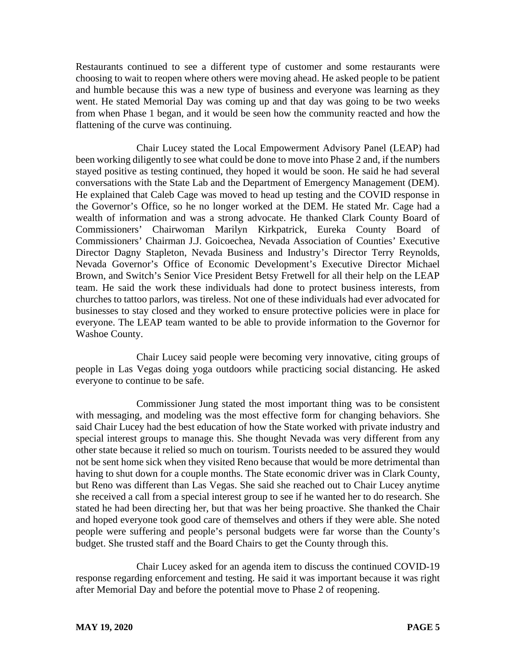Restaurants continued to see a different type of customer and some restaurants were choosing to wait to reopen where others were moving ahead. He asked people to be patient and humble because this was a new type of business and everyone was learning as they went. He stated Memorial Day was coming up and that day was going to be two weeks from when Phase 1 began, and it would be seen how the community reacted and how the flattening of the curve was continuing.

Chair Lucey stated the Local Empowerment Advisory Panel (LEAP) had been working diligently to see what could be done to move into Phase 2 and, if the numbers stayed positive as testing continued, they hoped it would be soon. He said he had several conversations with the State Lab and the Department of Emergency Management (DEM). He explained that Caleb Cage was moved to head up testing and the COVID response in the Governor's Office, so he no longer worked at the DEM. He stated Mr. Cage had a wealth of information and was a strong advocate. He thanked Clark County Board of Commissioners' Chairwoman Marilyn Kirkpatrick, Eureka County Board of Commissioners' Chairman J.J. Goicoechea, Nevada Association of Counties' Executive Director Dagny Stapleton, Nevada Business and Industry's Director Terry Reynolds, Nevada Governor's Office of Economic Development's Executive Director Michael Brown, and Switch's Senior Vice President Betsy Fretwell for all their help on the LEAP team. He said the work these individuals had done to protect business interests, from churches to tattoo parlors, was tireless. Not one of these individuals had ever advocated for businesses to stay closed and they worked to ensure protective policies were in place for everyone. The LEAP team wanted to be able to provide information to the Governor for Washoe County.

Chair Lucey said people were becoming very innovative, citing groups of people in Las Vegas doing yoga outdoors while practicing social distancing. He asked everyone to continue to be safe.

Commissioner Jung stated the most important thing was to be consistent with messaging, and modeling was the most effective form for changing behaviors. She said Chair Lucey had the best education of how the State worked with private industry and special interest groups to manage this. She thought Nevada was very different from any other state because it relied so much on tourism. Tourists needed to be assured they would not be sent home sick when they visited Reno because that would be more detrimental than having to shut down for a couple months. The State economic driver was in Clark County, but Reno was different than Las Vegas. She said she reached out to Chair Lucey anytime she received a call from a special interest group to see if he wanted her to do research. She stated he had been directing her, but that was her being proactive. She thanked the Chair and hoped everyone took good care of themselves and others if they were able. She noted people were suffering and people's personal budgets were far worse than the County's budget. She trusted staff and the Board Chairs to get the County through this.

Chair Lucey asked for an agenda item to discuss the continued COVID-19 response regarding enforcement and testing. He said it was important because it was right after Memorial Day and before the potential move to Phase 2 of reopening.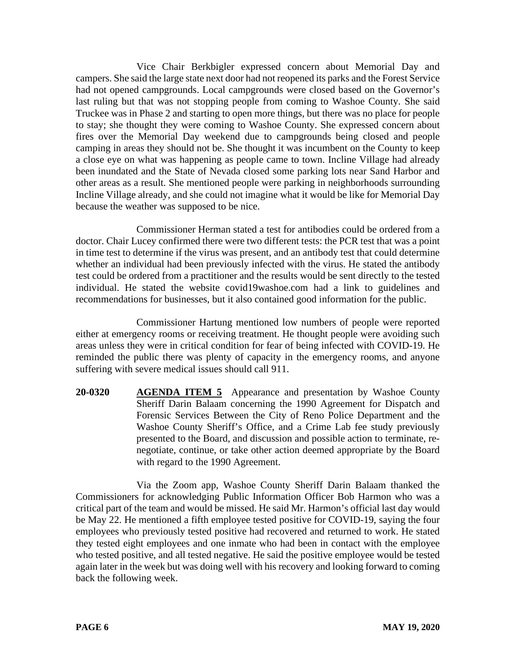Vice Chair Berkbigler expressed concern about Memorial Day and campers. She said the large state next door had not reopened its parks and the Forest Service had not opened campgrounds. Local campgrounds were closed based on the Governor's last ruling but that was not stopping people from coming to Washoe County. She said Truckee was in Phase 2 and starting to open more things, but there was no place for people to stay; she thought they were coming to Washoe County. She expressed concern about fires over the Memorial Day weekend due to campgrounds being closed and people camping in areas they should not be. She thought it was incumbent on the County to keep a close eye on what was happening as people came to town. Incline Village had already been inundated and the State of Nevada closed some parking lots near Sand Harbor and other areas as a result. She mentioned people were parking in neighborhoods surrounding Incline Village already, and she could not imagine what it would be like for Memorial Day because the weather was supposed to be nice.

Commissioner Herman stated a test for antibodies could be ordered from a doctor. Chair Lucey confirmed there were two different tests: the PCR test that was a point in time test to determine if the virus was present, and an antibody test that could determine whether an individual had been previously infected with the virus. He stated the antibody test could be ordered from a practitioner and the results would be sent directly to the tested individual. He stated the website covid19washoe.com had a link to guidelines and recommendations for businesses, but it also contained good information for the public.

Commissioner Hartung mentioned low numbers of people were reported either at emergency rooms or receiving treatment. He thought people were avoiding such areas unless they were in critical condition for fear of being infected with COVID-19. He reminded the public there was plenty of capacity in the emergency rooms, and anyone suffering with severe medical issues should call 911.

**20-0320 AGENDA ITEM 5** Appearance and presentation by Washoe County Sheriff Darin Balaam concerning the 1990 Agreement for Dispatch and Forensic Services Between the City of Reno Police Department and the Washoe County Sheriff's Office, and a Crime Lab fee study previously presented to the Board, and discussion and possible action to terminate, renegotiate, continue, or take other action deemed appropriate by the Board with regard to the 1990 Agreement.

Via the Zoom app, Washoe County Sheriff Darin Balaam thanked the Commissioners for acknowledging Public Information Officer Bob Harmon who was a critical part of the team and would be missed. He said Mr. Harmon's official last day would be May 22. He mentioned a fifth employee tested positive for COVID-19, saying the four employees who previously tested positive had recovered and returned to work. He stated they tested eight employees and one inmate who had been in contact with the employee who tested positive, and all tested negative. He said the positive employee would be tested again later in the week but was doing well with his recovery and looking forward to coming back the following week.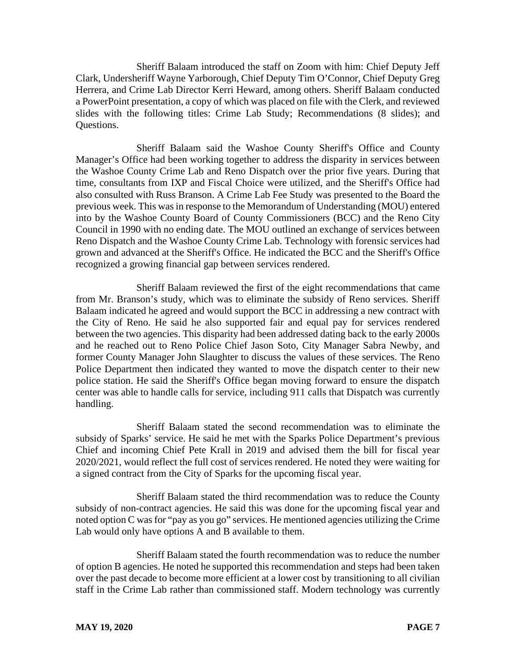Sheriff Balaam introduced the staff on Zoom with him: Chief Deputy Jeff Clark, Undersheriff Wayne Yarborough, Chief Deputy Tim O'Connor, Chief Deputy Greg Herrera, and Crime Lab Director Kerri Heward, among others. Sheriff Balaam conducted a PowerPoint presentation, a copy of which was placed on file with the Clerk, and reviewed slides with the following titles: Crime Lab Study; Recommendations (8 slides); and Questions.

Sheriff Balaam said the Washoe County Sheriff's Office and County Manager's Office had been working together to address the disparity in services between the Washoe County Crime Lab and Reno Dispatch over the prior five years. During that time, consultants from IXP and Fiscal Choice were utilized, and the Sheriff's Office had also consulted with Russ Branson. A Crime Lab Fee Study was presented to the Board the previous week. This was in response to the Memorandum of Understanding (MOU) entered into by the Washoe County Board of County Commissioners (BCC) and the Reno City Council in 1990 with no ending date. The MOU outlined an exchange of services between Reno Dispatch and the Washoe County Crime Lab. Technology with forensic services had grown and advanced at the Sheriff's Office. He indicated the BCC and the Sheriff's Office recognized a growing financial gap between services rendered.

Sheriff Balaam reviewed the first of the eight recommendations that came from Mr. Branson's study, which was to eliminate the subsidy of Reno services. Sheriff Balaam indicated he agreed and would support the BCC in addressing a new contract with the City of Reno. He said he also supported fair and equal pay for services rendered between the two agencies. This disparity had been addressed dating back to the early 2000s and he reached out to Reno Police Chief Jason Soto, City Manager Sabra Newby, and former County Manager John Slaughter to discuss the values of these services. The Reno Police Department then indicated they wanted to move the dispatch center to their new police station. He said the Sheriff's Office began moving forward to ensure the dispatch center was able to handle calls for service, including 911 calls that Dispatch was currently handling.

Sheriff Balaam stated the second recommendation was to eliminate the subsidy of Sparks' service. He said he met with the Sparks Police Department's previous Chief and incoming Chief Pete Krall in 2019 and advised them the bill for fiscal year 2020/2021, would reflect the full cost of services rendered. He noted they were waiting for a signed contract from the City of Sparks for the upcoming fiscal year.

Sheriff Balaam stated the third recommendation was to reduce the County subsidy of non-contract agencies. He said this was done for the upcoming fiscal year and noted option C was for "pay as you go" services. He mentioned agencies utilizing the Crime Lab would only have options A and B available to them.

Sheriff Balaam stated the fourth recommendation was to reduce the number of option B agencies. He noted he supported this recommendation and steps had been taken over the past decade to become more efficient at a lower cost by transitioning to all civilian staff in the Crime Lab rather than commissioned staff. Modern technology was currently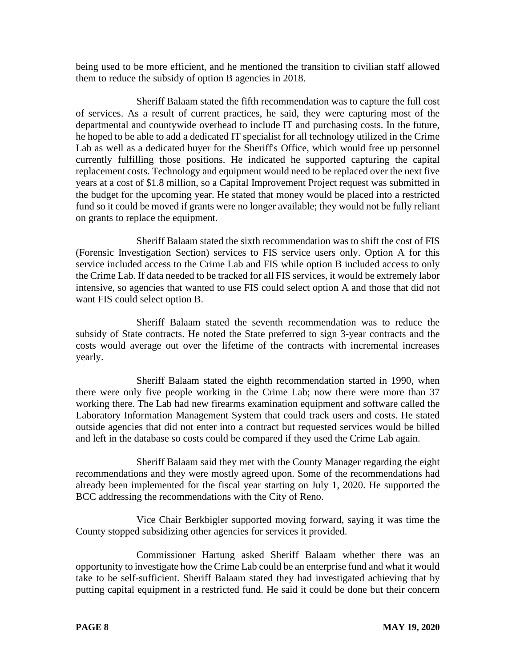being used to be more efficient, and he mentioned the transition to civilian staff allowed them to reduce the subsidy of option B agencies in 2018.

Sheriff Balaam stated the fifth recommendation was to capture the full cost of services. As a result of current practices, he said, they were capturing most of the departmental and countywide overhead to include IT and purchasing costs. In the future, he hoped to be able to add a dedicated IT specialist for all technology utilized in the Crime Lab as well as a dedicated buyer for the Sheriff's Office, which would free up personnel currently fulfilling those positions. He indicated he supported capturing the capital replacement costs. Technology and equipment would need to be replaced over the next five years at a cost of \$1.8 million, so a Capital Improvement Project request was submitted in the budget for the upcoming year. He stated that money would be placed into a restricted fund so it could be moved if grants were no longer available; they would not be fully reliant on grants to replace the equipment.

Sheriff Balaam stated the sixth recommendation was to shift the cost of FIS (Forensic Investigation Section) services to FIS service users only. Option A for this service included access to the Crime Lab and FIS while option B included access to only the Crime Lab. If data needed to be tracked for all FIS services, it would be extremely labor intensive, so agencies that wanted to use FIS could select option A and those that did not want FIS could select option B.

Sheriff Balaam stated the seventh recommendation was to reduce the subsidy of State contracts. He noted the State preferred to sign 3-year contracts and the costs would average out over the lifetime of the contracts with incremental increases yearly.

Sheriff Balaam stated the eighth recommendation started in 1990, when there were only five people working in the Crime Lab; now there were more than 37 working there. The Lab had new firearms examination equipment and software called the Laboratory Information Management System that could track users and costs. He stated outside agencies that did not enter into a contract but requested services would be billed and left in the database so costs could be compared if they used the Crime Lab again.

Sheriff Balaam said they met with the County Manager regarding the eight recommendations and they were mostly agreed upon. Some of the recommendations had already been implemented for the fiscal year starting on July 1, 2020. He supported the BCC addressing the recommendations with the City of Reno.

Vice Chair Berkbigler supported moving forward, saying it was time the County stopped subsidizing other agencies for services it provided.

Commissioner Hartung asked Sheriff Balaam whether there was an opportunity to investigate how the Crime Lab could be an enterprise fund and what it would take to be self-sufficient. Sheriff Balaam stated they had investigated achieving that by putting capital equipment in a restricted fund. He said it could be done but their concern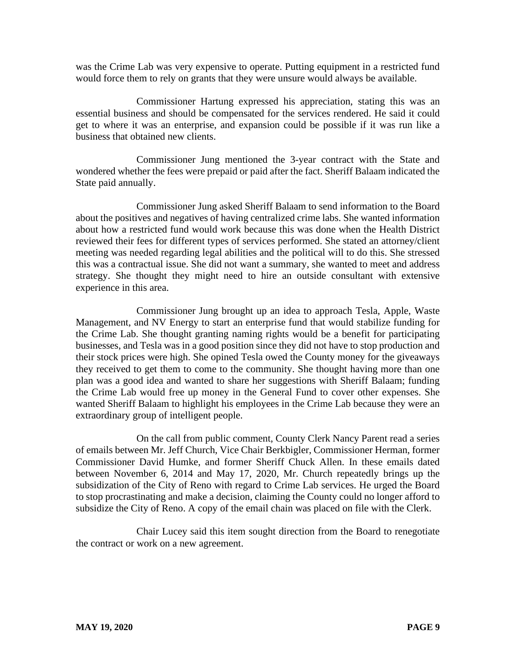was the Crime Lab was very expensive to operate. Putting equipment in a restricted fund would force them to rely on grants that they were unsure would always be available.

Commissioner Hartung expressed his appreciation, stating this was an essential business and should be compensated for the services rendered. He said it could get to where it was an enterprise, and expansion could be possible if it was run like a business that obtained new clients.

Commissioner Jung mentioned the 3-year contract with the State and wondered whether the fees were prepaid or paid after the fact. Sheriff Balaam indicated the State paid annually.

Commissioner Jung asked Sheriff Balaam to send information to the Board about the positives and negatives of having centralized crime labs. She wanted information about how a restricted fund would work because this was done when the Health District reviewed their fees for different types of services performed. She stated an attorney/client meeting was needed regarding legal abilities and the political will to do this. She stressed this was a contractual issue. She did not want a summary, she wanted to meet and address strategy. She thought they might need to hire an outside consultant with extensive experience in this area.

Commissioner Jung brought up an idea to approach Tesla, Apple, Waste Management, and NV Energy to start an enterprise fund that would stabilize funding for the Crime Lab. She thought granting naming rights would be a benefit for participating businesses, and Tesla was in a good position since they did not have to stop production and their stock prices were high. She opined Tesla owed the County money for the giveaways they received to get them to come to the community. She thought having more than one plan was a good idea and wanted to share her suggestions with Sheriff Balaam; funding the Crime Lab would free up money in the General Fund to cover other expenses. She wanted Sheriff Balaam to highlight his employees in the Crime Lab because they were an extraordinary group of intelligent people.

On the call from public comment, County Clerk Nancy Parent read a series of emails between Mr. Jeff Church, Vice Chair Berkbigler, Commissioner Herman, former Commissioner David Humke, and former Sheriff Chuck Allen. In these emails dated between November 6, 2014 and May 17, 2020, Mr. Church repeatedly brings up the subsidization of the City of Reno with regard to Crime Lab services. He urged the Board to stop procrastinating and make a decision, claiming the County could no longer afford to subsidize the City of Reno. A copy of the email chain was placed on file with the Clerk.

Chair Lucey said this item sought direction from the Board to renegotiate the contract or work on a new agreement.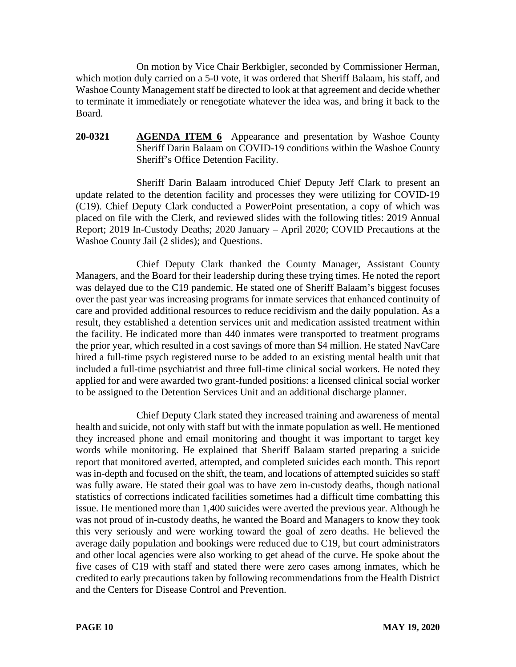On motion by Vice Chair Berkbigler, seconded by Commissioner Herman, which motion duly carried on a 5-0 vote, it was ordered that Sheriff Balaam, his staff, and Washoe County Management staff be directed to look at that agreement and decide whether to terminate it immediately or renegotiate whatever the idea was, and bring it back to the Board.

# **20-0321 AGENDA ITEM 6** Appearance and presentation by Washoe County Sheriff Darin Balaam on COVID-19 conditions within the Washoe County Sheriff's Office Detention Facility.

Sheriff Darin Balaam introduced Chief Deputy Jeff Clark to present an update related to the detention facility and processes they were utilizing for COVID-19 (C19). Chief Deputy Clark conducted a PowerPoint presentation, a copy of which was placed on file with the Clerk, and reviewed slides with the following titles: 2019 Annual Report; 2019 In-Custody Deaths; 2020 January – April 2020; COVID Precautions at the Washoe County Jail (2 slides); and Questions.

Chief Deputy Clark thanked the County Manager, Assistant County Managers, and the Board for their leadership during these trying times. He noted the report was delayed due to the C19 pandemic. He stated one of Sheriff Balaam's biggest focuses over the past year was increasing programs for inmate services that enhanced continuity of care and provided additional resources to reduce recidivism and the daily population. As a result, they established a detention services unit and medication assisted treatment within the facility. He indicated more than 440 inmates were transported to treatment programs the prior year, which resulted in a cost savings of more than \$4 million. He stated NavCare hired a full-time psych registered nurse to be added to an existing mental health unit that included a full-time psychiatrist and three full-time clinical social workers. He noted they applied for and were awarded two grant-funded positions: a licensed clinical social worker to be assigned to the Detention Services Unit and an additional discharge planner.

Chief Deputy Clark stated they increased training and awareness of mental health and suicide, not only with staff but with the inmate population as well. He mentioned they increased phone and email monitoring and thought it was important to target key words while monitoring. He explained that Sheriff Balaam started preparing a suicide report that monitored averted, attempted, and completed suicides each month. This report was in-depth and focused on the shift, the team, and locations of attempted suicides so staff was fully aware. He stated their goal was to have zero in-custody deaths, though national statistics of corrections indicated facilities sometimes had a difficult time combatting this issue. He mentioned more than 1,400 suicides were averted the previous year. Although he was not proud of in-custody deaths, he wanted the Board and Managers to know they took this very seriously and were working toward the goal of zero deaths. He believed the average daily population and bookings were reduced due to C19, but court administrators and other local agencies were also working to get ahead of the curve. He spoke about the five cases of C19 with staff and stated there were zero cases among inmates, which he credited to early precautions taken by following recommendations from the Health District and the Centers for Disease Control and Prevention.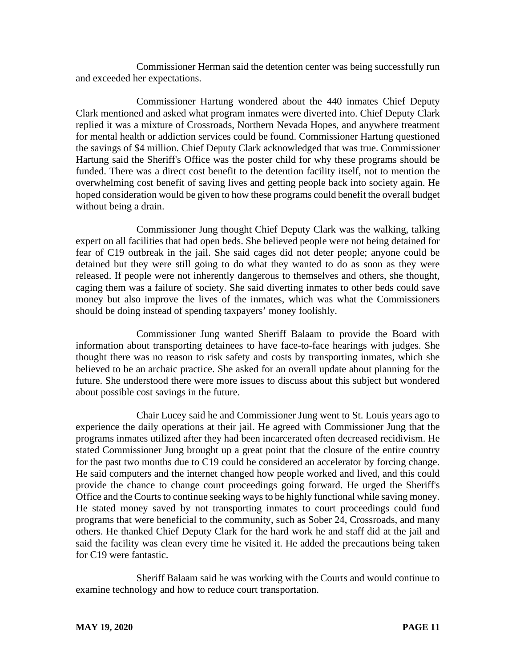Commissioner Herman said the detention center was being successfully run and exceeded her expectations.

Commissioner Hartung wondered about the 440 inmates Chief Deputy Clark mentioned and asked what program inmates were diverted into. Chief Deputy Clark replied it was a mixture of Crossroads, Northern Nevada Hopes, and anywhere treatment for mental health or addiction services could be found. Commissioner Hartung questioned the savings of \$4 million. Chief Deputy Clark acknowledged that was true. Commissioner Hartung said the Sheriff's Office was the poster child for why these programs should be funded. There was a direct cost benefit to the detention facility itself, not to mention the overwhelming cost benefit of saving lives and getting people back into society again. He hoped consideration would be given to how these programs could benefit the overall budget without being a drain.

Commissioner Jung thought Chief Deputy Clark was the walking, talking expert on all facilities that had open beds. She believed people were not being detained for fear of C19 outbreak in the jail. She said cages did not deter people; anyone could be detained but they were still going to do what they wanted to do as soon as they were released. If people were not inherently dangerous to themselves and others, she thought, caging them was a failure of society. She said diverting inmates to other beds could save money but also improve the lives of the inmates, which was what the Commissioners should be doing instead of spending taxpayers' money foolishly.

Commissioner Jung wanted Sheriff Balaam to provide the Board with information about transporting detainees to have face-to-face hearings with judges. She thought there was no reason to risk safety and costs by transporting inmates, which she believed to be an archaic practice. She asked for an overall update about planning for the future. She understood there were more issues to discuss about this subject but wondered about possible cost savings in the future.

Chair Lucey said he and Commissioner Jung went to St. Louis years ago to experience the daily operations at their jail. He agreed with Commissioner Jung that the programs inmates utilized after they had been incarcerated often decreased recidivism. He stated Commissioner Jung brought up a great point that the closure of the entire country for the past two months due to C19 could be considered an accelerator by forcing change. He said computers and the internet changed how people worked and lived, and this could provide the chance to change court proceedings going forward. He urged the Sheriff's Office and the Courts to continue seeking ways to be highly functional while saving money. He stated money saved by not transporting inmates to court proceedings could fund programs that were beneficial to the community, such as Sober 24, Crossroads, and many others. He thanked Chief Deputy Clark for the hard work he and staff did at the jail and said the facility was clean every time he visited it. He added the precautions being taken for C19 were fantastic.

Sheriff Balaam said he was working with the Courts and would continue to examine technology and how to reduce court transportation.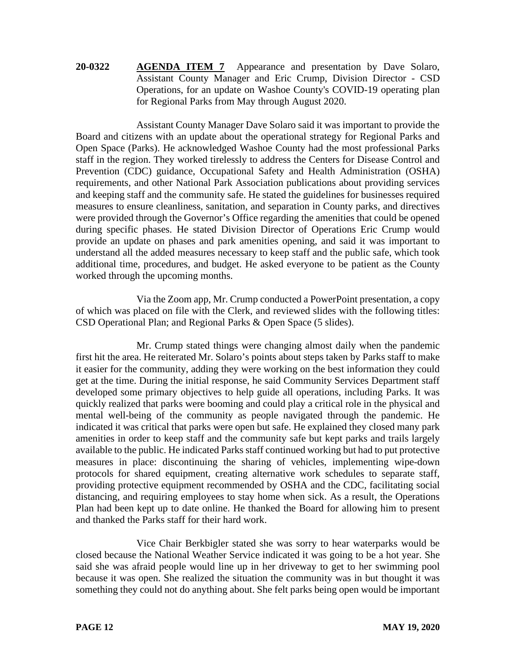# **20-0322 AGENDA ITEM 7** Appearance and presentation by Dave Solaro, Assistant County Manager and Eric Crump, Division Director - CSD Operations, for an update on Washoe County's COVID-19 operating plan for Regional Parks from May through August 2020.

Assistant County Manager Dave Solaro said it was important to provide the Board and citizens with an update about the operational strategy for Regional Parks and Open Space (Parks). He acknowledged Washoe County had the most professional Parks staff in the region. They worked tirelessly to address the Centers for Disease Control and Prevention (CDC) guidance, Occupational Safety and Health Administration (OSHA) requirements, and other National Park Association publications about providing services and keeping staff and the community safe. He stated the guidelines for businesses required measures to ensure cleanliness, sanitation, and separation in County parks, and directives were provided through the Governor's Office regarding the amenities that could be opened during specific phases. He stated Division Director of Operations Eric Crump would provide an update on phases and park amenities opening, and said it was important to understand all the added measures necessary to keep staff and the public safe, which took additional time, procedures, and budget. He asked everyone to be patient as the County worked through the upcoming months.

Via the Zoom app, Mr. Crump conducted a PowerPoint presentation, a copy of which was placed on file with the Clerk, and reviewed slides with the following titles: CSD Operational Plan; and Regional Parks & Open Space (5 slides).

Mr. Crump stated things were changing almost daily when the pandemic first hit the area. He reiterated Mr. Solaro's points about steps taken by Parks staff to make it easier for the community, adding they were working on the best information they could get at the time. During the initial response, he said Community Services Department staff developed some primary objectives to help guide all operations, including Parks. It was quickly realized that parks were booming and could play a critical role in the physical and mental well-being of the community as people navigated through the pandemic. He indicated it was critical that parks were open but safe. He explained they closed many park amenities in order to keep staff and the community safe but kept parks and trails largely available to the public. He indicated Parks staff continued working but had to put protective measures in place: discontinuing the sharing of vehicles, implementing wipe-down protocols for shared equipment, creating alternative work schedules to separate staff, providing protective equipment recommended by OSHA and the CDC, facilitating social distancing, and requiring employees to stay home when sick. As a result, the Operations Plan had been kept up to date online. He thanked the Board for allowing him to present and thanked the Parks staff for their hard work.

Vice Chair Berkbigler stated she was sorry to hear waterparks would be closed because the National Weather Service indicated it was going to be a hot year. She said she was afraid people would line up in her driveway to get to her swimming pool because it was open. She realized the situation the community was in but thought it was something they could not do anything about. She felt parks being open would be important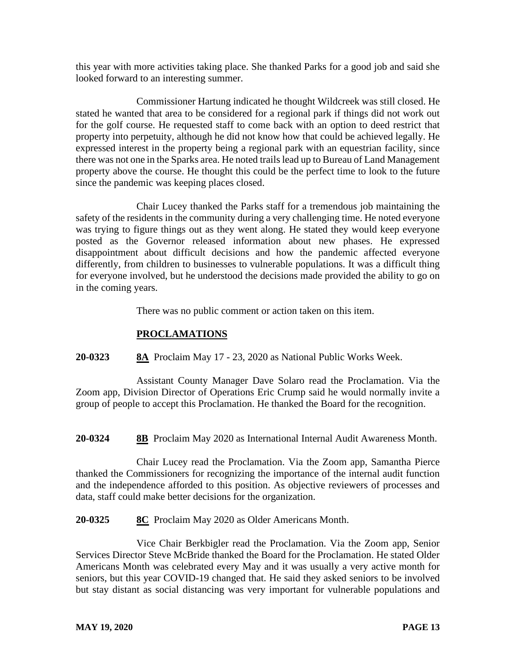this year with more activities taking place. She thanked Parks for a good job and said she looked forward to an interesting summer.

Commissioner Hartung indicated he thought Wildcreek was still closed. He stated he wanted that area to be considered for a regional park if things did not work out for the golf course. He requested staff to come back with an option to deed restrict that property into perpetuity, although he did not know how that could be achieved legally. He expressed interest in the property being a regional park with an equestrian facility, since there was not one in the Sparks area. He noted trails lead up to Bureau of Land Management property above the course. He thought this could be the perfect time to look to the future since the pandemic was keeping places closed.

Chair Lucey thanked the Parks staff for a tremendous job maintaining the safety of the residents in the community during a very challenging time. He noted everyone was trying to figure things out as they went along. He stated they would keep everyone posted as the Governor released information about new phases. He expressed disappointment about difficult decisions and how the pandemic affected everyone differently, from children to businesses to vulnerable populations. It was a difficult thing for everyone involved, but he understood the decisions made provided the ability to go on in the coming years.

There was no public comment or action taken on this item.

# **PROCLAMATIONS**

**20-0323 8A** Proclaim May 17 - 23, 2020 as National Public Works Week.

Assistant County Manager Dave Solaro read the Proclamation. Via the Zoom app, Division Director of Operations Eric Crump said he would normally invite a group of people to accept this Proclamation. He thanked the Board for the recognition.

**20-0324 8B** Proclaim May 2020 as International Internal Audit Awareness Month.

Chair Lucey read the Proclamation. Via the Zoom app, Samantha Pierce thanked the Commissioners for recognizing the importance of the internal audit function and the independence afforded to this position. As objective reviewers of processes and data, staff could make better decisions for the organization.

**20-0325 8C** Proclaim May 2020 as Older Americans Month.

Vice Chair Berkbigler read the Proclamation. Via the Zoom app, Senior Services Director Steve McBride thanked the Board for the Proclamation. He stated Older Americans Month was celebrated every May and it was usually a very active month for seniors, but this year COVID-19 changed that. He said they asked seniors to be involved but stay distant as social distancing was very important for vulnerable populations and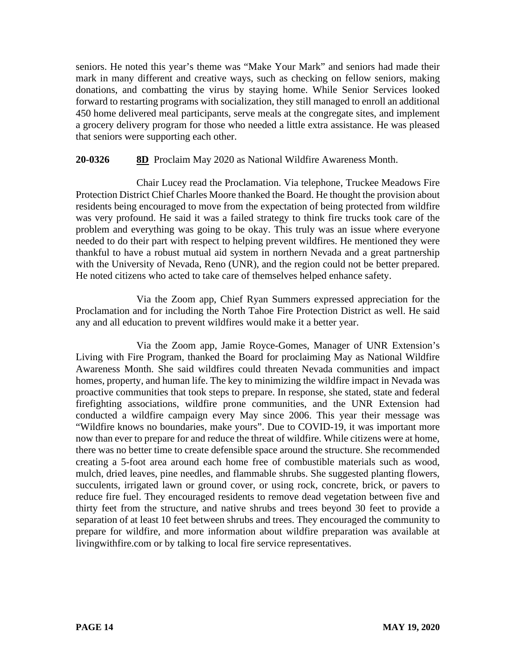seniors. He noted this year's theme was "Make Your Mark" and seniors had made their mark in many different and creative ways, such as checking on fellow seniors, making donations, and combatting the virus by staying home. While Senior Services looked forward to restarting programs with socialization, they still managed to enroll an additional 450 home delivered meal participants, serve meals at the congregate sites, and implement a grocery delivery program for those who needed a little extra assistance. He was pleased that seniors were supporting each other.

# **20-0326 8D** Proclaim May 2020 as National Wildfire Awareness Month.

Chair Lucey read the Proclamation. Via telephone, Truckee Meadows Fire Protection District Chief Charles Moore thanked the Board. He thought the provision about residents being encouraged to move from the expectation of being protected from wildfire was very profound. He said it was a failed strategy to think fire trucks took care of the problem and everything was going to be okay. This truly was an issue where everyone needed to do their part with respect to helping prevent wildfires. He mentioned they were thankful to have a robust mutual aid system in northern Nevada and a great partnership with the University of Nevada, Reno (UNR), and the region could not be better prepared. He noted citizens who acted to take care of themselves helped enhance safety.

Via the Zoom app, Chief Ryan Summers expressed appreciation for the Proclamation and for including the North Tahoe Fire Protection District as well. He said any and all education to prevent wildfires would make it a better year.

Via the Zoom app, Jamie Royce-Gomes, Manager of UNR Extension's Living with Fire Program, thanked the Board for proclaiming May as National Wildfire Awareness Month. She said wildfires could threaten Nevada communities and impact homes, property, and human life. The key to minimizing the wildfire impact in Nevada was proactive communities that took steps to prepare. In response, she stated, state and federal firefighting associations, wildfire prone communities, and the UNR Extension had conducted a wildfire campaign every May since 2006. This year their message was "Wildfire knows no boundaries, make yours". Due to COVID-19, it was important more now than ever to prepare for and reduce the threat of wildfire. While citizens were at home, there was no better time to create defensible space around the structure. She recommended creating a 5-foot area around each home free of combustible materials such as wood, mulch, dried leaves, pine needles, and flammable shrubs. She suggested planting flowers, succulents, irrigated lawn or ground cover, or using rock, concrete, brick, or pavers to reduce fire fuel. They encouraged residents to remove dead vegetation between five and thirty feet from the structure, and native shrubs and trees beyond 30 feet to provide a separation of at least 10 feet between shrubs and trees. They encouraged the community to prepare for wildfire, and more information about wildfire preparation was available at livingwithfire.com or by talking to local fire service representatives.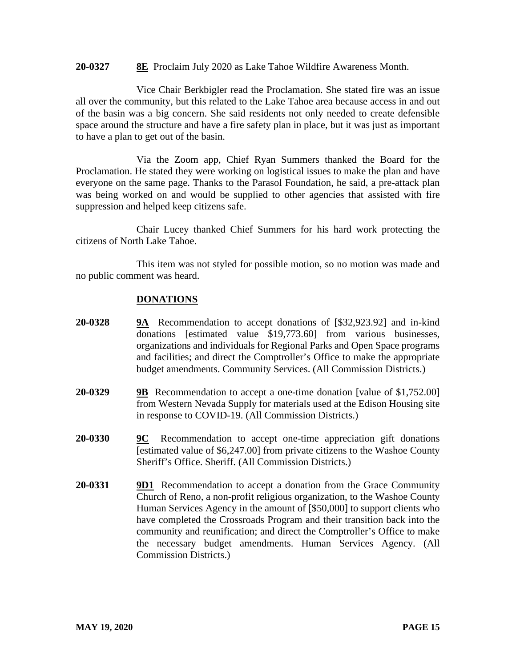### **20-0327 8E** Proclaim July 2020 as Lake Tahoe Wildfire Awareness Month.

Vice Chair Berkbigler read the Proclamation. She stated fire was an issue all over the community, but this related to the Lake Tahoe area because access in and out of the basin was a big concern. She said residents not only needed to create defensible space around the structure and have a fire safety plan in place, but it was just as important to have a plan to get out of the basin.

Via the Zoom app, Chief Ryan Summers thanked the Board for the Proclamation. He stated they were working on logistical issues to make the plan and have everyone on the same page. Thanks to the Parasol Foundation, he said, a pre-attack plan was being worked on and would be supplied to other agencies that assisted with fire suppression and helped keep citizens safe.

Chair Lucey thanked Chief Summers for his hard work protecting the citizens of North Lake Tahoe.

This item was not styled for possible motion, so no motion was made and no public comment was heard.

## **DONATIONS**

- **20-0328 9A** Recommendation to accept donations of [\$32,923.92] and in-kind donations [estimated value \$19,773.60] from various businesses, organizations and individuals for Regional Parks and Open Space programs and facilities; and direct the Comptroller's Office to make the appropriate budget amendments. Community Services. (All Commission Districts.)
- **20-0329 9B** Recommendation to accept a one-time donation [value of \$1,752.00] from Western Nevada Supply for materials used at the Edison Housing site in response to COVID-19. (All Commission Districts.)
- **20-0330 9C** Recommendation to accept one-time appreciation gift donations [estimated value of \$6,247.00] from private citizens to the Washoe County Sheriff's Office. Sheriff. (All Commission Districts.)
- **20-0331 9D1** Recommendation to accept a donation from the Grace Community Church of Reno, a non-profit religious organization, to the Washoe County Human Services Agency in the amount of [\$50,000] to support clients who have completed the Crossroads Program and their transition back into the community and reunification; and direct the Comptroller's Office to make the necessary budget amendments. Human Services Agency. (All Commission Districts.)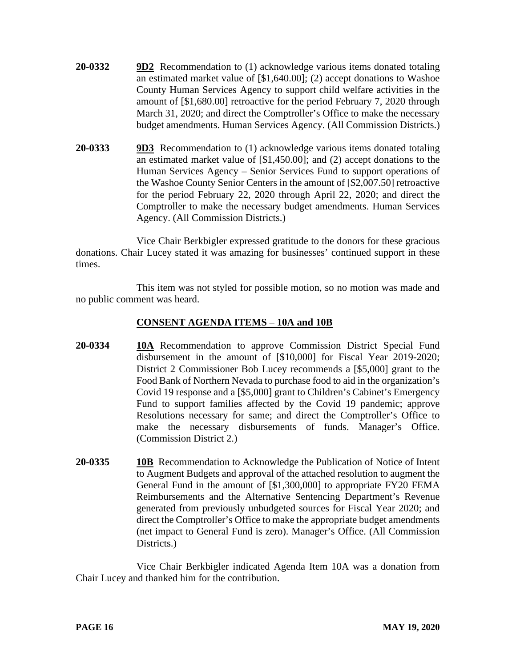- **20-0332 9D2** Recommendation to (1) acknowledge various items donated totaling an estimated market value of [\$1,640.00]; (2) accept donations to Washoe County Human Services Agency to support child welfare activities in the amount of [\$1,680.00] retroactive for the period February 7, 2020 through March 31, 2020; and direct the Comptroller's Office to make the necessary budget amendments. Human Services Agency. (All Commission Districts.)
- **20-0333 9D3** Recommendation to (1) acknowledge various items donated totaling an estimated market value of [\$1,450.00]; and (2) accept donations to the Human Services Agency – Senior Services Fund to support operations of the Washoe County Senior Centers in the amount of [\$2,007.50] retroactive for the period February 22, 2020 through April 22, 2020; and direct the Comptroller to make the necessary budget amendments. Human Services Agency. (All Commission Districts.)

Vice Chair Berkbigler expressed gratitude to the donors for these gracious donations. Chair Lucey stated it was amazing for businesses' continued support in these times.

This item was not styled for possible motion, so no motion was made and no public comment was heard.

# **CONSENT AGENDA ITEMS** – **10A and 10B**

- **20-0334 10A** Recommendation to approve Commission District Special Fund disbursement in the amount of [\$10,000] for Fiscal Year 2019-2020; District 2 Commissioner Bob Lucey recommends a [\$5,000] grant to the Food Bank of Northern Nevada to purchase food to aid in the organization's Covid 19 response and a [\$5,000] grant to Children's Cabinet's Emergency Fund to support families affected by the Covid 19 pandemic; approve Resolutions necessary for same; and direct the Comptroller's Office to make the necessary disbursements of funds. Manager's Office. (Commission District 2.)
- **20-0335 10B** Recommendation to Acknowledge the Publication of Notice of Intent to Augment Budgets and approval of the attached resolution to augment the General Fund in the amount of [\$1,300,000] to appropriate FY20 FEMA Reimbursements and the Alternative Sentencing Department's Revenue generated from previously unbudgeted sources for Fiscal Year 2020; and direct the Comptroller's Office to make the appropriate budget amendments (net impact to General Fund is zero). Manager's Office. (All Commission Districts.)

Vice Chair Berkbigler indicated Agenda Item 10A was a donation from Chair Lucey and thanked him for the contribution.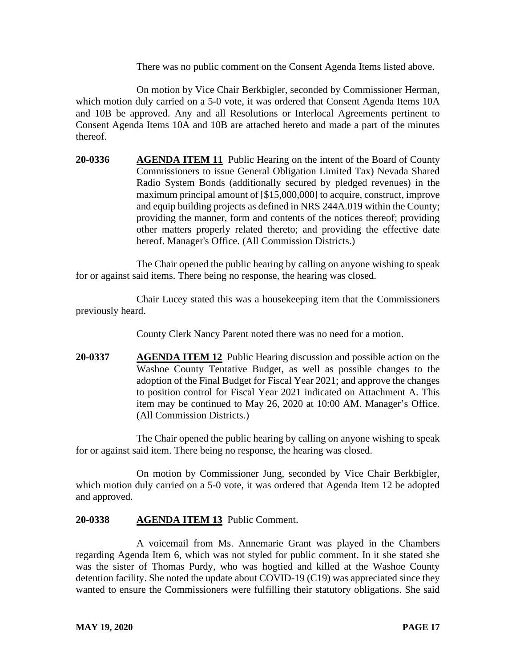There was no public comment on the Consent Agenda Items listed above.

On motion by Vice Chair Berkbigler, seconded by Commissioner Herman, which motion duly carried on a 5-0 vote, it was ordered that Consent Agenda Items 10A and 10B be approved. Any and all Resolutions or Interlocal Agreements pertinent to Consent Agenda Items 10A and 10B are attached hereto and made a part of the minutes thereof.

**20-0336 AGENDA ITEM 11** Public Hearing on the intent of the Board of County Commissioners to issue General Obligation Limited Tax) Nevada Shared Radio System Bonds (additionally secured by pledged revenues) in the maximum principal amount of [\$15,000,000] to acquire, construct, improve and equip building projects as defined in NRS 244A.019 within the County; providing the manner, form and contents of the notices thereof; providing other matters properly related thereto; and providing the effective date hereof. Manager's Office. (All Commission Districts.)

The Chair opened the public hearing by calling on anyone wishing to speak for or against said items. There being no response, the hearing was closed.

Chair Lucey stated this was a housekeeping item that the Commissioners previously heard.

County Clerk Nancy Parent noted there was no need for a motion.

**20-0337 AGENDA ITEM 12** Public Hearing discussion and possible action on the Washoe County Tentative Budget, as well as possible changes to the adoption of the Final Budget for Fiscal Year 2021; and approve the changes to position control for Fiscal Year 2021 indicated on Attachment A. This item may be continued to May 26, 2020 at 10:00 AM. Manager's Office. (All Commission Districts.)

The Chair opened the public hearing by calling on anyone wishing to speak for or against said item. There being no response, the hearing was closed.

On motion by Commissioner Jung, seconded by Vice Chair Berkbigler, which motion duly carried on a 5-0 vote, it was ordered that Agenda Item 12 be adopted and approved.

## **20-0338 AGENDA ITEM 13** Public Comment.

A voicemail from Ms. Annemarie Grant was played in the Chambers regarding Agenda Item 6, which was not styled for public comment. In it she stated she was the sister of Thomas Purdy, who was hogtied and killed at the Washoe County detention facility. She noted the update about COVID-19 (C19) was appreciated since they wanted to ensure the Commissioners were fulfilling their statutory obligations. She said